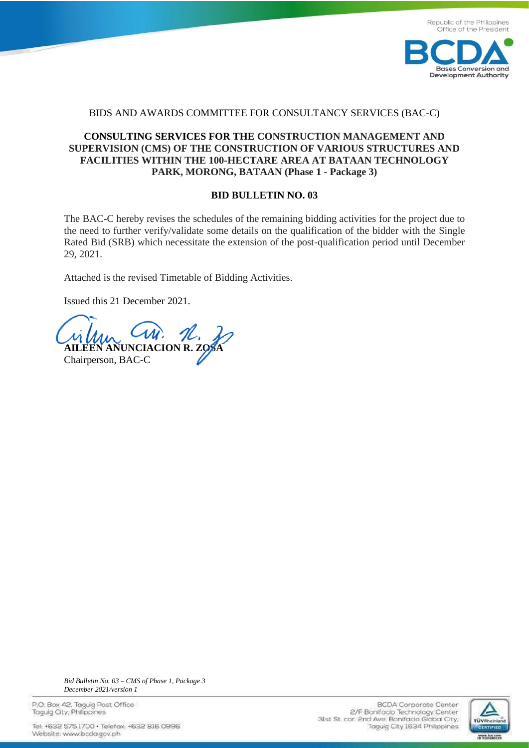

## BIDS AND AWARDS COMMITTEE FOR CONSULTANCY SERVICES (BAC-C)

## **CONSULTING SERVICES FOR THE CONSTRUCTION MANAGEMENT AND SUPERVISION (CMS) OF THE CONSTRUCTION OF VARIOUS STRUCTURES AND FACILITIES WITHIN THE 100-HECTARE AREA AT BATAAN TECHNOLOGY PARK, MORONG, BATAAN (Phase 1 - Package 3)**

## **BID BULLETIN NO. 03**

The BAC-C hereby revises the schedules of the remaining bidding activities for the project due to the need to further verify/validate some details on the qualification of the bidder with the Single Rated Bid (SRB) which necessitate the extension of the post-qualification period until December 29, 2021.

Attached is the revised Timetable of Bidding Activities.

Issued this 21 December 2021.

**CION R. ZO** Chairperson, BAC-C

*Bid Bulletin No. 03 – CMS of Phase 1, Package 3 December 2021/version 1*

P.O. Box 42, Taguig Post Office Taguig City, Philippines